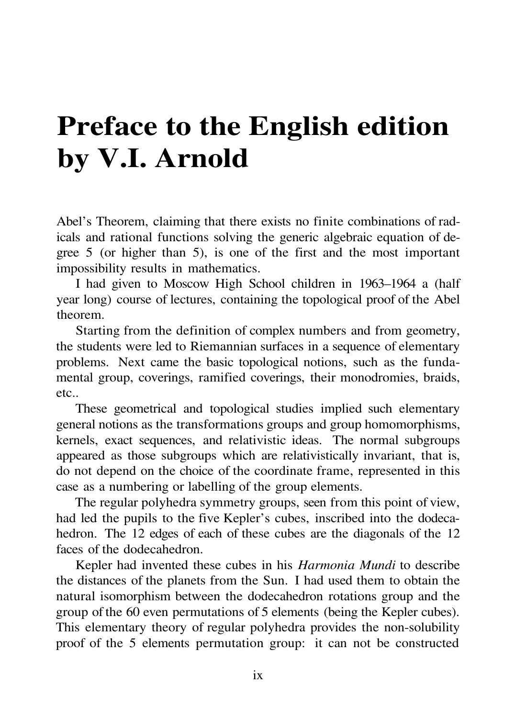## **Preface to the English edition by V.I. Arnold**

Abel's Theorem, claiming that there exists no finite combinations of radicals and rational functions solving the generic algebraic equation of degree 5 (or higher than 5), is one of the first and the most important impossibility results in mathematics.

I had given to Moscow High School children in 1963–1964 a (half year long) course of lectures, containing the topological proof of the Abel theorem.

Starting from the definition of complex numbers and from geometry, the students were led to Riemannian surfaces in a sequence of elementary problems. Next came the basic topological notions, such as the fundamental group, coverings, ramified coverings, their monodromies, braids, etc..

These geometrical and topological studies implied such elementary general notions as the transformations groups and group homomorphisms, kernels, exact sequences, and relativistic ideas. The normal subgroups appeared as those subgroups which are relativistically invariant, that is, do not depend on the choice of the coordinate frame, represented in this case as a numbering or labelling of the group elements.

The regular polyhedra symmetry groups, seen from this point of view, had led the pupils to the five Kepler's cubes, inscribed into the dodecahedron. The 12 edges of each of these cubes are the diagonals of the 12 faces of the dodecahedron.

Kepler had invented these cubes in his *Harmonia Mundi* to describe the distances of the planets from the Sun. I had used them to obtain the natural isomorphism between the dodecahedron rotations group and the group of the 60 even permutations of 5 elements (being the Kepler cubes). This elementary theory of regular polyhedra provides the non-solubility proof of the 5 elements permutation group: it can not be constructed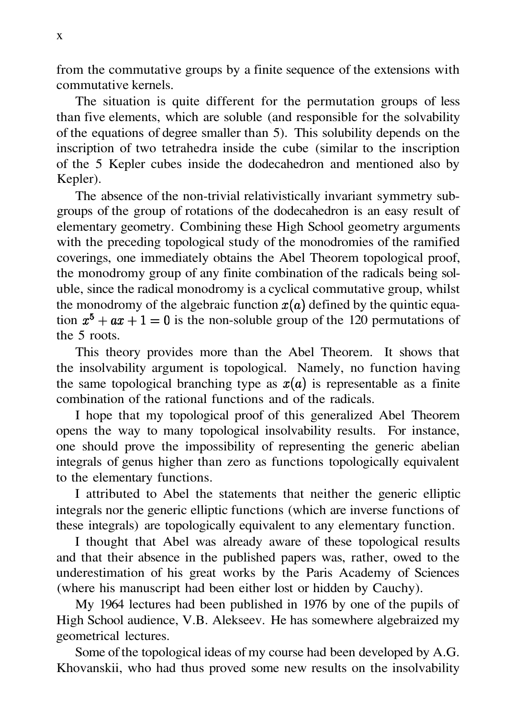from the commutative groups by a finite sequence of the extensions with commutative kernels.

The situation is quite different for the permutation groups of less than five elements, which are soluble (and responsible for the solvability of the equations of degree smaller than 5). This solubility depends on the inscription of two tetrahedra inside the cube (similar to the inscription of the 5 Kepler cubes inside the dodecahedron and mentioned also by Kepler).

The absence of the non-trivial relativistically invariant symmetry subgroups of the group of rotations of the dodecahedron is an easy result of elementary geometry. Combining these High School geometry arguments with the preceding topological study of the monodromies of the ramified coverings, one immediately obtains the Abel Theorem topological proof, the monodromy group of any finite combination of the radicals being soluble, since the radical monodromy is a cyclical commutative group, whilst the monodromy of the algebraic function  $x(a)$  defined by the quintic equation  $x^5 + ax + 1 = 0$  is the non-soluble group of the 120 permutations of the 5 roots.

This theory provides more than the Abel Theorem. It shows that the insolvability argument is topological. Namely, no function having the same topological branching type as  $x(a)$  is representable as a finite combination of the rational functions and of the radicals.

I hope that my topological proof of this generalized Abel Theorem opens the way to many topological insolvability results. For instance, one should prove the impossibility of representing the generic abelian integrals of genus higher than zero as functions topologically equivalent to the elementary functions.

I attributed to Abel the statements that neither the generic elliptic integrals nor the generic elliptic functions (which are inverse functions of these integrals) are topologically equivalent to any elementary function.

I thought that Abel was already aware of these topological results and that their absence in the published papers was, rather, owed to the underestimation of his great works by the Paris Academy of Sciences (where his manuscript had been either lost or hidden by Cauchy).

My 1964 lectures had been published in 1976 by one of the pupils of High School audience, V.B. Alekseev. He has somewhere algebraized my geometrical lectures.

Some of the topological ideas of my course had been developed by A.G. Khovanskii, who had thus proved some new results on the insolvability